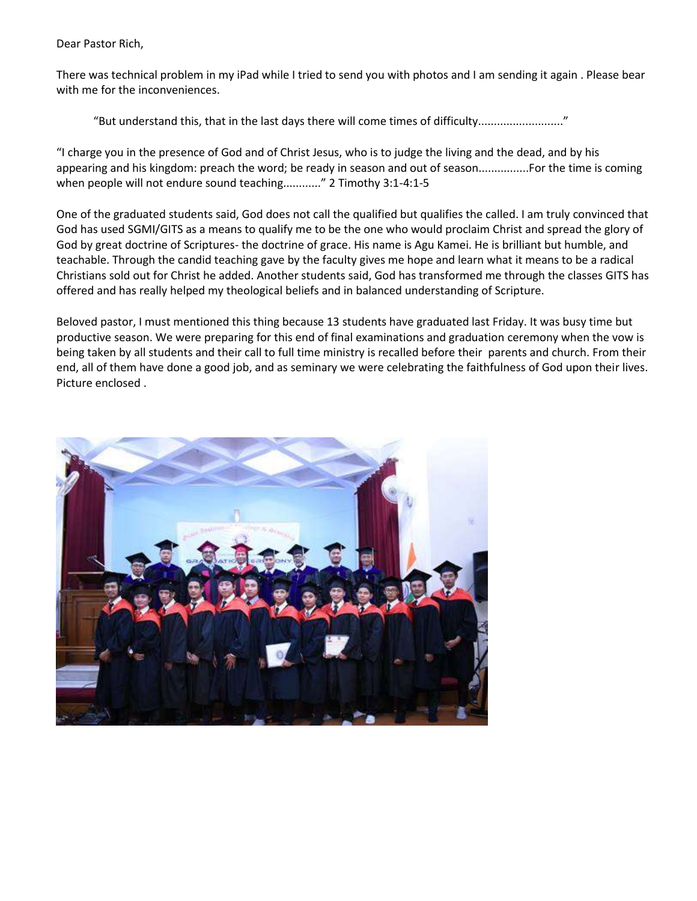Dear Pastor Rich,

There was technical problem in my iPad while I tried to send you with photos and I am sending it again . Please bear with me for the inconveniences.

"But understand this, that in the last days there will come times of difficulty..........................."

"I charge you in the presence of God and of Christ Jesus, who is to judge the living and the dead, and by his appearing and his kingdom: preach the word; be ready in season and out of season................For the time is coming when people will not endure sound teaching............." 2 Timothy 3:1-4:1-5

One of the graduated students said, God does not call the qualified but qualifies the called. I am truly convinced that God has used SGMI/GITS as a means to qualify me to be the one who would proclaim Christ and spread the glory of God by great doctrine of Scriptures- the doctrine of grace. His name is Agu Kamei. He is brilliant but humble, and teachable. Through the candid teaching gave by the faculty gives me hope and learn what it means to be a radical Christians sold out for Christ he added. Another students said, God has transformed me through the classes GITS has offered and has really helped my theological beliefs and in balanced understanding of Scripture.

Beloved pastor, I must mentioned this thing because 13 students have graduated last Friday. It was busy time but productive season. We were preparing for this end of final examinations and graduation ceremony when the vow is being taken by all students and their call to full time ministry is recalled before their parents and church. From their end, all of them have done a good job, and as seminary we were celebrating the faithfulness of God upon their lives. Picture enclosed .

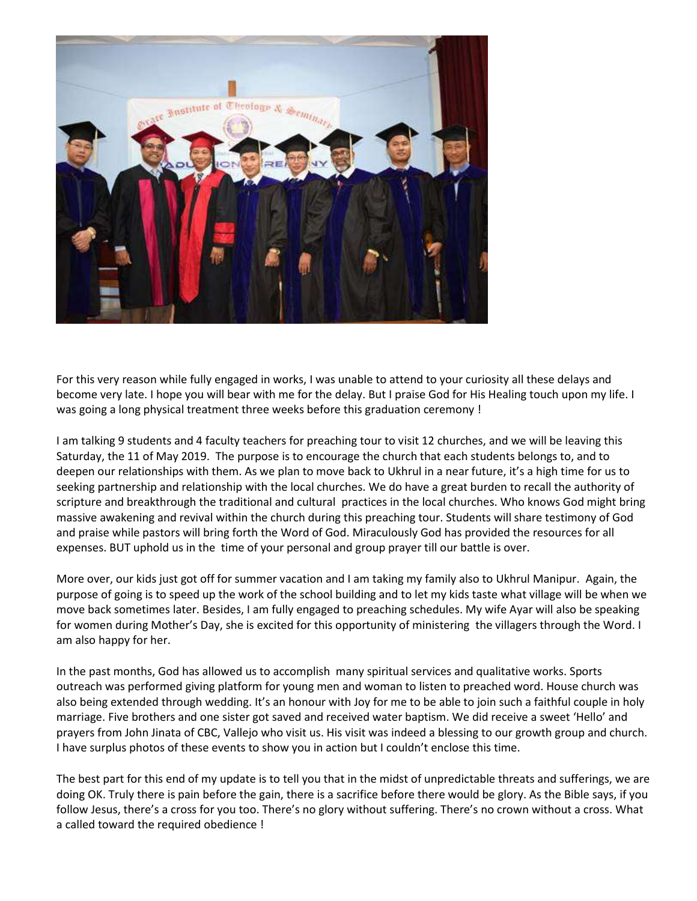

For this very reason while fully engaged in works, I was unable to attend to your curiosity all these delays and become very late. I hope you will bear with me for the delay. But I praise God for His Healing touch upon my life. I was going a long physical treatment three weeks before this graduation ceremony !

I am talking 9 students and 4 faculty teachers for preaching tour to visit 12 churches, and we will be leaving this Saturday, the 11 of May 2019. The purpose is to encourage the church that each students belongs to, and to deepen our relationships with them. As we plan to move back to Ukhrul in a near future, it's a high time for us to seeking partnership and relationship with the local churches. We do have a great burden to recall the authority of scripture and breakthrough the traditional and cultural practices in the local churches. Who knows God might bring massive awakening and revival within the church during this preaching tour. Students will share testimony of God and praise while pastors will bring forth the Word of God. Miraculously God has provided the resources for all expenses. BUT uphold us in the time of your personal and group prayer till our battle is over.

More over, our kids just got off for summer vacation and I am taking my family also to Ukhrul Manipur. Again, the purpose of going is to speed up the work of the school building and to let my kids taste what village will be when we move back sometimes later. Besides, I am fully engaged to preaching schedules. My wife Ayar will also be speaking for women during Mother's Day, she is excited for this opportunity of ministering the villagers through the Word. I am also happy for her.

In the past months, God has allowed us to accomplish many spiritual services and qualitative works. Sports outreach was performed giving platform for young men and woman to listen to preached word. House church was also being extended through wedding. It's an honour with Joy for me to be able to join such a faithful couple in holy marriage. Five brothers and one sister got saved and received water baptism. We did receive a sweet 'Hello' and prayers from John Jinata of CBC, Vallejo who visit us. His visit was indeed a blessing to our growth group and church. I have surplus photos of these events to show you in action but I couldn't enclose this time.

The best part for this end of my update is to tell you that in the midst of unpredictable threats and sufferings, we are doing OK. Truly there is pain before the gain, there is a sacrifice before there would be glory. As the Bible says, if you follow Jesus, there's a cross for you too. There's no glory without suffering. There's no crown without a cross. What a called toward the required obedience !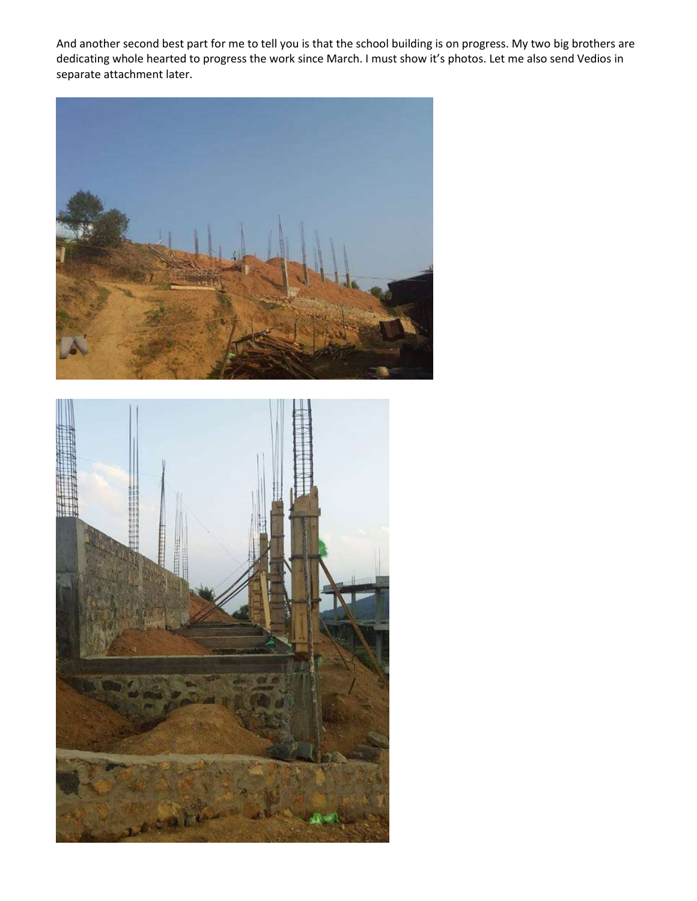And another second best part for me to tell you is that the school building is on progress. My two big brothers are dedicating whole hearted to progress the work since March. I must show it's photos. Let me also send Vedios in separate attachment later.